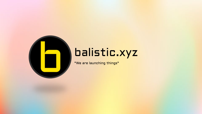

# balistic.xyz

"We are launching things"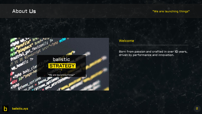# About Us

#### "We are launching things"



### Welcome

Born from passion and crafted in over 10 years, driven by performance and innovation.

n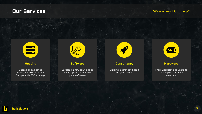#### "We are launching things"



### Hosting

Shared or dedicated hosting on VPS located in Europe with SSD storage



### Software

Developing new solutions or doing optimizations for your software



#### **Consultancy**

Building a strategy based on your needs



### Hardware

From workstations upgrade to complete network solutions

h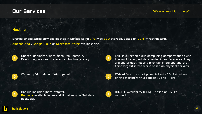#### "We are launching things"

### Hosting

Shared or dedicated services located in Europe using VPS with SSD storage. Based on OVH infrastructure. Amazon AWS, Google Cloud or Microsoft Azure available also.



Shared, dedicated, bare metal. You name it. Everything in a near datacenter for low latency.







Backup included (best-effort). Backup+ available as an additional service (full daily backups).



OVH is a French cloud computing company that owns the world's largest datacenter in surface area. They are the largest hosting provider in Europe and the third largest in the world based on physical servers.



Webmin / Virtualmin control panel. OVH offers the most powerful anti-DDoS solution on the market with a capacity up to 11Tb/s.



99.95% Availability (SLA) – based on OVH's network.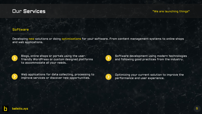#### "We are launching things"

### Software

Developing new solutions or doing optimizations for your software. From content management systems to online shops and web applications.



Blogs, online shops or portals using the userfriendly WordPress or custom designed platforms to accommodate all your needs.



Web applications for data collecting, processing to improve services or discover new opportunities.



Software development using modern technologies and following good practices from the industry.

Optimizing your current solution to improve the performance and user experience.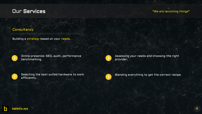### "We are launching things"

### **Consultancy**

Building a strategy based on your needs.



Online presence: SEO, audit, performance benchmarking.



Assessing your needs and choosing the right provider.

Selecting the best suited hardware to work efficiently.



Blending everything to get the correct recipe.

П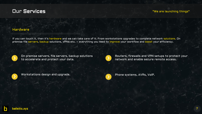#### "We are launching things"

### Hardware

If you can touch it, then it's hardware and we can take care of it. From workstations upgrades to complete network solutions. On premise file servers, backup solutions, VPNs etc. – everything you need to improve your workflow and boost your efficiency.



On premise servers, file servers, backup solutions to accelerate and protect your data.



Routers, firewalls and VPN setups to protect your network and enable secure remote access.



Workstations design and upgrade. And the systems, AVRs, VoIP.